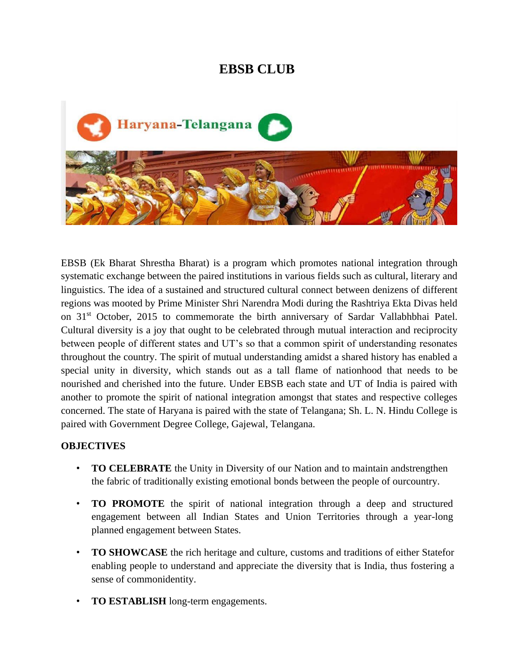# **EBSB CLUB**



EBSB (Ek Bharat Shrestha Bharat) is a program which promotes national integration through systematic exchange between the paired institutions in various fields such as cultural, literary and linguistics. The idea of a sustained and structured cultural connect between denizens of different regions was mooted by Prime Minister Shri Narendra Modi during the Rashtriya Ekta Divas held on 31<sup>st</sup> October, 2015 to commemorate the birth anniversary of Sardar Vallabhbhai Patel. Cultural diversity is a joy that ought to be celebrated through mutual interaction and reciprocity between people of different states and UT's so that a common spirit of understanding resonates throughout the country. The spirit of mutual understanding amidst a shared history has enabled a special unity in diversity, which stands out as a tall flame of nationhood that needs to be nourished and cherished into the future. Under EBSB each state and UT of India is paired with another to promote the spirit of national integration amongst that states and respective colleges concerned. The state of Haryana is paired with the state of Telangana; Sh. L. N. Hindu College is paired with Government Degree College, Gajewal, Telangana.

# **OBJECTIVES**

- **TO CELEBRATE** the Unity in Diversity of our Nation and to maintain andstrengthen the fabric of traditionally existing emotional bonds between the people of ourcountry.
- **TO PROMOTE** the spirit of national integration through a deep and structured engagement between all Indian States and Union Territories through a year-long planned engagement between States.
- **TO SHOWCASE** the rich heritage and culture, customs and traditions of either Statefor enabling people to understand and appreciate the diversity that is India, thus fostering a sense of commonidentity.
- **TO ESTABLISH** long-term engagements.